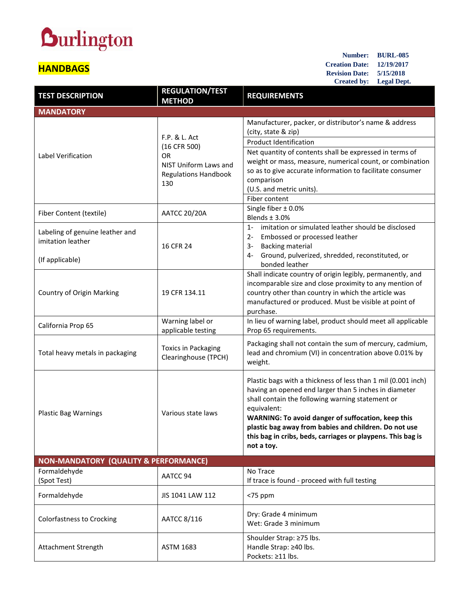## **Durlington**

Attachment Strength **ASTM 1683** 

## **HANDBAGS**

**Number: BURL-085 Creation Date: 12/19/2017 Revision Date: 5/15/2018 Created by: Legal Dept.**

| <b>TEST DESCRIPTION</b>                                                 | <b>REGULATION/TEST</b><br><b>METHOD</b>                                                                   | <b>REQUIREMENTS</b>                                                                                                                                                                                                                                                                                                                                                                   |  |
|-------------------------------------------------------------------------|-----------------------------------------------------------------------------------------------------------|---------------------------------------------------------------------------------------------------------------------------------------------------------------------------------------------------------------------------------------------------------------------------------------------------------------------------------------------------------------------------------------|--|
| <b>MANDATORY</b>                                                        |                                                                                                           |                                                                                                                                                                                                                                                                                                                                                                                       |  |
| Label Verification                                                      | F.P. & L. Act<br>(16 CFR 500)<br><b>OR</b><br>NIST Uniform Laws and<br><b>Regulations Handbook</b><br>130 | Manufacturer, packer, or distributor's name & address<br>(city, state & zip)<br><b>Product Identification</b><br>Net quantity of contents shall be expressed in terms of<br>weight or mass, measure, numerical count, or combination<br>so as to give accurate information to facilitate consumer<br>comparison<br>(U.S. and metric units).<br>Fiber content                          |  |
| Fiber Content (textile)                                                 | <b>AATCC 20/20A</b>                                                                                       | Single fiber $\pm$ 0.0%<br>Blends $±$ 3.0%                                                                                                                                                                                                                                                                                                                                            |  |
| Labeling of genuine leather and<br>imitation leather<br>(If applicable) | 16 CFR 24                                                                                                 | imitation or simulated leather should be disclosed<br>$1 -$<br>Embossed or processed leather<br>$2 -$<br><b>Backing material</b><br>3-<br>Ground, pulverized, shredded, reconstituted, or<br>4-<br>bonded leather                                                                                                                                                                     |  |
| Country of Origin Marking                                               | 19 CFR 134.11                                                                                             | Shall indicate country of origin legibly, permanently, and<br>incomparable size and close proximity to any mention of<br>country other than country in which the article was<br>manufactured or produced. Must be visible at point of<br>purchase.                                                                                                                                    |  |
| California Prop 65                                                      | Warning label or<br>applicable testing                                                                    | In lieu of warning label, product should meet all applicable<br>Prop 65 requirements.                                                                                                                                                                                                                                                                                                 |  |
| Total heavy metals in packaging                                         | <b>Toxics in Packaging</b><br>Clearinghouse (TPCH)                                                        | Packaging shall not contain the sum of mercury, cadmium,<br>lead and chromium (VI) in concentration above 0.01% by<br>weight.                                                                                                                                                                                                                                                         |  |
| <b>Plastic Bag Warnings</b>                                             | Various state laws                                                                                        | Plastic bags with a thickness of less than 1 mil (0.001 inch)<br>having an opened end larger than 5 inches in diameter<br>shall contain the following warning statement or<br>equivalent:<br>WARNING: To avoid danger of suffocation, keep this<br>plastic bag away from babies and children. Do not use<br>this bag in cribs, beds, carriages or playpens. This bag is<br>not a toy. |  |
| <b>NON-MANDATORY (QUALITY &amp; PERFORMANCE)</b>                        |                                                                                                           |                                                                                                                                                                                                                                                                                                                                                                                       |  |
| Formaldehyde<br>(Spot Test)                                             | AATCC 94                                                                                                  | No Trace<br>If trace is found - proceed with full testing                                                                                                                                                                                                                                                                                                                             |  |
| Formaldehyde                                                            | JIS 1041 LAW 112                                                                                          | $<$ 75 ppm                                                                                                                                                                                                                                                                                                                                                                            |  |
| <b>Colorfastness to Crocking</b>                                        | AATCC 8/116                                                                                               | Dry: Grade 4 minimum<br>Wet: Grade 3 minimum                                                                                                                                                                                                                                                                                                                                          |  |

Shoulder Strap: ≥75 lbs. Handle Strap: ≥40 lbs. Pockets: ≥11 lbs.